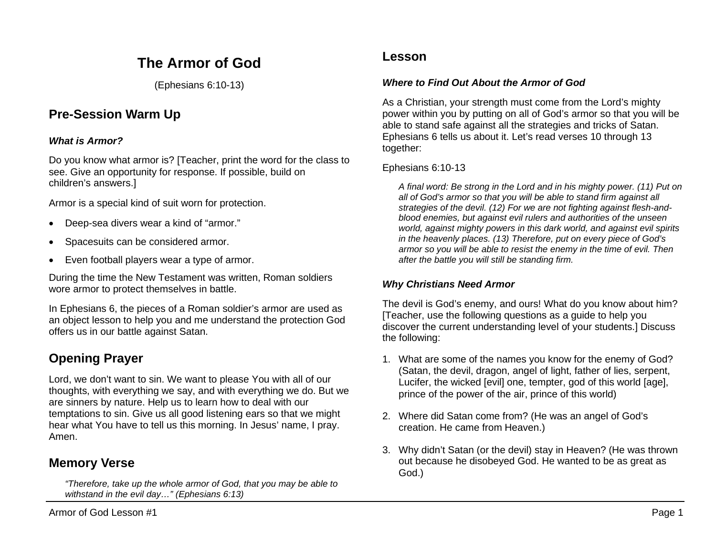# **The Armor of God**

(Ephesians 6:10-13)

# **Pre-Session Warm Up**

## *What is Armor?*

Do you know what armor is? [Teacher, print the word for the class to see. Give an opportunity for response. If possible, build on children's answers.]

Armor is a special kind of suit worn for protection.

- Deep-sea divers wear a kind of "armor."
- Spacesuits can be considered armor.
- Even football players wear a type of armor.

During the time the New Testament was written, Roman soldiers wore armor to protect themselves in battle.

In Ephesians 6, the pieces of a Roman soldier's armor are used as an object lesson to help you and me understand the protection God offers us in our battle against Satan.

# **Opening Prayer**

Lord, we don't want to sin. We want to please You with all of our thoughts, with everything we say, and with everything we do. But we are sinners by nature. Help us to learn how to deal with our temptations to sin. Give us all good listening ears so that we might hear what You have to tell us this morning. In Jesus' name, I pray. Amen.

## **Memory Verse**

*"Therefore, take up the whole armor of God, that you may be able to withstand in the evil day…" (Ephesians 6:13)*

## *Where to Find Out About the Armor of God*

As a Christian, your strength must come from the Lord's mighty power within you by putting on all of God's armor so that you will be able to stand safe against all the strategies and tricks of Satan. Ephesians 6 tells us about it. Let's read verses 10 through 13 together:

## Ephesians 6:10-13

*A final word: Be strong in the Lord and in his mighty power. (11) Put on all of God's armor so that you will be able to stand firm against all strategies of the devil. (12) For we are not fighting against flesh-andblood enemies, but against evil rulers and authorities of the unseen world, against mighty powers in this dark world, and against evil spirits in the heavenly places. (13) Therefore, put on every piece of God's armor so you will be able to resist the enemy in the time of evil. Then after the battle you will still be standing firm.*

## *Why Christians Need Armor*

The devil is God's enemy, and ours! What do you know about him? [Teacher, use the following questions as a guide to help you discover the current understanding level of your students.] Discuss the following:

- 1. What are some of the names you know for the enemy of God? (Satan, the devil, dragon, angel of light, father of lies, serpent, Lucifer, the wicked [evil] one, tempter, god of this world [age], prince of the power of the air, prince of this world)
- 2. Where did Satan come from? (He was an angel of God's creation. He came from Heaven.)
- 3. Why didn't Satan (or the devil) stay in Heaven? (He was thrown out because he disobeyed God. He wanted to be as great as God.)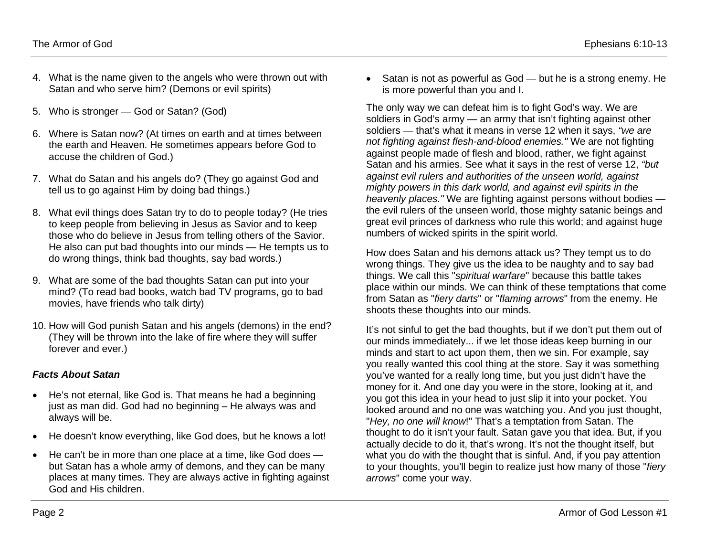6. Where is Satan now? (At times on earth and at times between the earth and Heaven. He sometimes appears before God to accuse the children of God.)

4. What is the name given to the angels who were thrown out with

Satan and who serve him? (Demons or evil spirits)

- 7. What do Satan and his angels do? (They go against God and tell us to go against Him by doing bad things.)
- 8. What evil things does Satan try to do to people today? (He tries to keep people from believing in Jesus as Savior and to keep those who do believe in Jesus from telling others of the Savior. He also can put bad thoughts into our minds — He tempts us to do wrong things, think bad thoughts, say bad words.)
- 9. What are some of the bad thoughts Satan can put into your mind? (To read bad books, watch bad TV programs, go to bad movies, have friends who talk dirty)
- 10. How will God punish Satan and his angels (demons) in the end? (They will be thrown into the lake of fire where they will suffer forever and ever.)

#### *Facts About Satan*

- He's not eternal, like God is. That means he had a beginning just as man did. God had no beginning – He always was and always will be.
- He doesn't know everything, like God does, but he knows a lot!
- He can't be in more than one place at a time, like God does but Satan has a whole army of demons, and they can be many places at many times. They are always active in fighting against God and His children.

• Satan is not as powerful as God — but he is a strong enemy. He is more powerful than you and I.

The only way we can defeat him is to fight God's way. We are soldiers in God's army — an army that isn't fighting against other soldiers — that's what it means in verse 12 when it says, *"we are not fighting against flesh-and-blood enemies."* We are not fighting against people made of flesh and blood, rather, we fight against Satan and his armies. See what it says in the rest of verse 12, *"but against evil rulers and authorities of the unseen world, against mighty powers in this dark world, and against evil spirits in the heavenly places."* We are fighting against persons without bodies the evil rulers of the unseen world, those mighty satanic beings and great evil princes of darkness who rule this world; and against huge numbers of wicked spirits in the spirit world.

How does Satan and his demons attack us? They tempt us to do wrong things. They give us the idea to be naughty and to say bad things. We call this "*spiritual warfare*" because this battle takes place within our minds. We can think of these temptations that come from Satan as "*fiery darts*" or "*flaming arrows*" from the enemy. He shoots these thoughts into our minds.

It's not sinful to get the bad thoughts, but if we don't put them out of our minds immediately... if we let those ideas keep burning in our minds and start to act upon them, then we sin. For example, say you really wanted this cool thing at the store. Say it was something you've wanted for a really long time, but you just didn't have the money for it. And one day you were in the store, looking at it, and you got this idea in your head to just slip it into your pocket. You looked around and no one was watching you. And you just thought, "*Hey, no one will know*!" That's a temptation from Satan. The thought to do it isn't your fault. Satan gave you that idea. But, if you actually decide to do it, that's wrong. It's not the thought itself, but what you do with the thought that is sinful. And, if you pay attention to your thoughts, you'll begin to realize just how many of those "*fiery arrows*" come your way.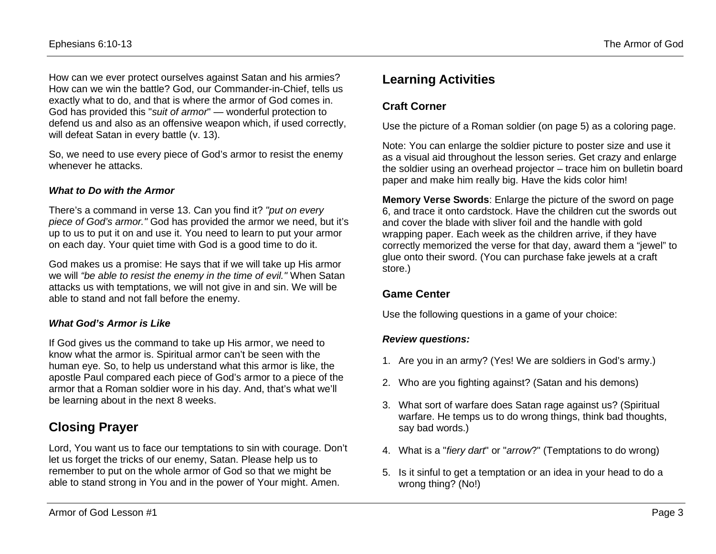How can we ever protect ourselves against Satan and his armies? How can we win the battle? God, our Commander-in-Chief, tells us exactly what to do, and that is where the armor of God comes in. God has provided this "*suit of armor*" — wonderful protection to defend us and also as an offensive weapon which, if used correctly, will defeat Satan in every battle (v. 13).

So, we need to use every piece of God's armor to resist the enemy whenever he attacks.

## *What to Do with the Armor*

There's a command in verse 13. Can you find it? *"put on every piece of God's armor."* God has provided the armor we need, but it's up to us to put it on and use it. You need to learn to put your armor on each day. Your quiet time with God is a good time to do it.

God makes us a promise: He says that if we will take up His armor we will *"be able to resist the enemy in the time of evil."* When Satan attacks us with temptations, we will not give in and sin. We will be able to stand and not fall before the enemy.

## *What God's Armor is Like*

If God gives us the command to take up His armor, we need to know what the armor is. Spiritual armor can't be seen with the human eye. So, to help us understand what this armor is like, the apostle Paul compared each piece of God's armor to a piece of the armor that a Roman soldier wore in his day. And, that's what we'll be learning about in the next 8 weeks.

# **Closing Prayer**

Lord, You want us to face our temptations to sin with courage. Don't let us forget the tricks of our enemy, Satan. Please help us to remember to put on the whole armor of God so that we might be able to stand strong in You and in the power of Your might. Amen.

# **Learning Activities**

## **Craft Corner**

Use the picture of a Roman soldier (on page 5) as a coloring page.

Note: You can enlarge the soldier picture to poster size and use it as a visual aid throughout the lesson series. Get crazy and enlarge the soldier using an overhead projector – trace him on bulletin board paper and make him really big. Have the kids color him!

**Memory Verse Swords**: Enlarge the picture of the sword on page 6, and trace it onto cardstock. Have the children cut the swords out and cover the blade with sliver foil and the handle with gold wrapping paper. Each week as the children arrive, if they have correctly memorized the verse for that day, award them a "jewel" to glue onto their sword. (You can purchase fake jewels at a craft store.)

## **Game Center**

Use the following questions in a game of your choice:

## *Review questions:*

- 1. Are you in an army? (Yes! We are soldiers in God's army.)
- 2. Who are you fighting against? (Satan and his demons)
- 3. What sort of warfare does Satan rage against us? (Spiritual warfare. He temps us to do wrong things, think bad thoughts, say bad words.)
- 4. What is a "*fiery dart*" or "*arrow*?" (Temptations to do wrong)
- 5. Is it sinful to get a temptation or an idea in your head to do a wrong thing? (No!)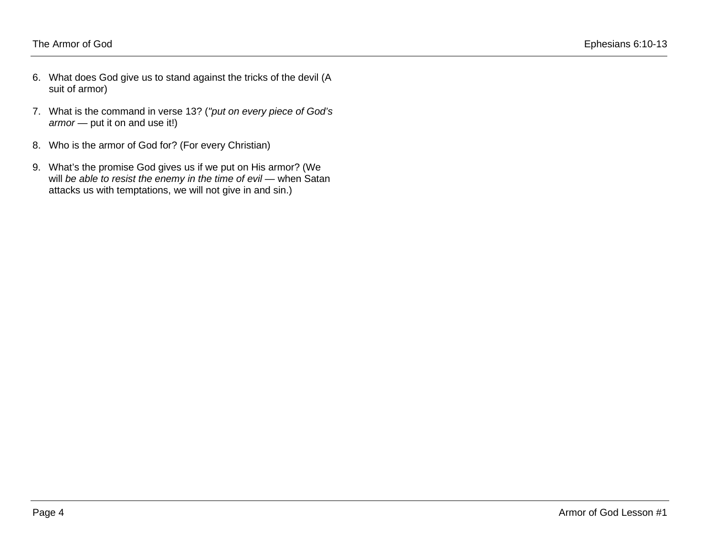- 6. What does God give us to stand against the tricks of the devil (A suit of armor)
- 7. What is the command in verse 13? (*"put on every piece of God's armor* — put it on and use it!)
- 8. Who is the armor of God for? (For every Christian)
- 9. What's the promise God gives us if we put on His armor? (We will *be able to resist the enemy in the time of evil* — when Satan attacks us with temptations, we will not give in and sin.)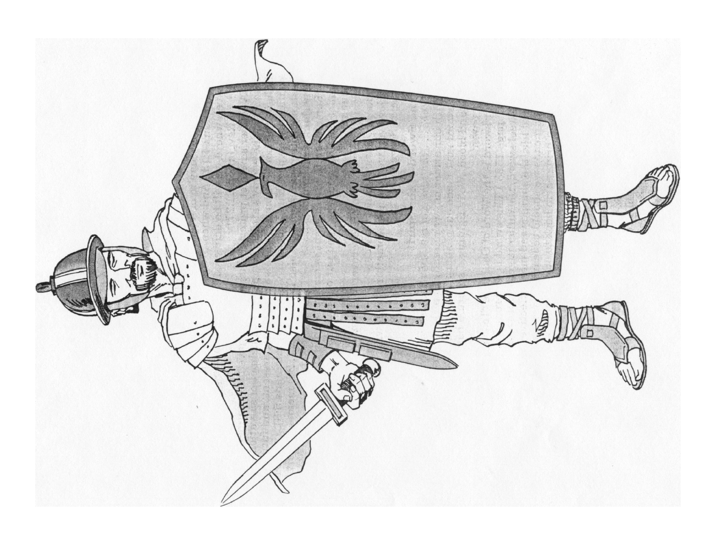